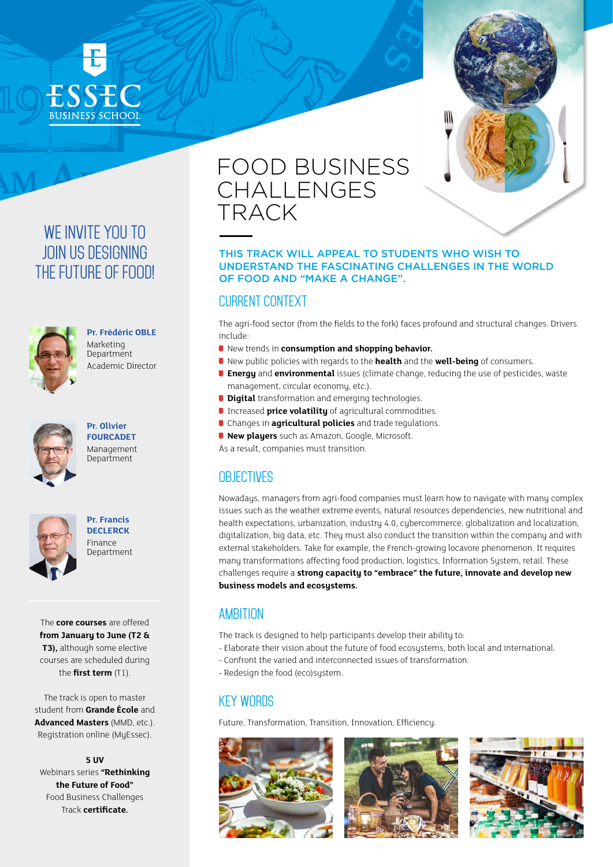





### **Pr. Frédéric OBLE**

Marketing Department Academic Director



**Pr. Olivier FOURCADET** Management Department



**Pr. Francis DECLERCK** Finance Department

The **core courses** are offered **from January to June (T2 & T3),** although some elective courses are scheduled during the **first term** (T1).

The track is open to master student from **Grande École** and **Advanced Masters** (MMD, etc.). Registration online (MyEssec).

**5 UV** Webinars series **"Rethinking the Future of Food"** Food Business Challenges Track **certificate.**

# FOOD BUSINESS CHALLENGES TRACK

#### THIS TRACK WILL APPEAL TO STUDENTS WHO WISH TO UNDERSTAND THE FASCINATING CHALLENGES IN THE WORLD OF FOOD AND "MAKE A CHANGE".

### CURRENT CONTEXT

The agri-food sector (from the fields to the fork) faces profound and structural changes. Drivers include:

- **U** New trends in **consumption and shopping behavior.**
- New public policies with regards to the **health** and the **well-being** of consumers.
- **Energy** and **environmental** issues (climate change, reducing the use of pesticides, waste management, circular economy, etc.).
- **Digital** transformation and emerging technologies.
- **Increased price volatility** of agricultural commodities.
- Changes in **agricultural policies** and trade regulations.
- **New players** such as Amazon, Google, Microsoft.

As a result, companies must transition.

### **OB IECTIVES**

Nowadays, managers from agri-food companies must learn how to navigate with many complex issues such as the weather extreme events, natural resources dependencies, new nutritional and health expectations, urbanization, industry 4.0, cybercommerce, globalization and localization, digitalization, big data, etc. They must also conduct the transition within the company and with external stakeholders. Take for example, the French-growing locavore phenomenon. It requires many transformations affecting food production, logistics, Information System, retail. These challenges require a **strong capacity to "embrace" the future, innovate and develop new business models and ecosystems.**

### AMBITION

- The track is designed to help participants develop their ability to:
- Elaborate their vision about the future of food ecosystems, both local and international.
- Confront the varied and interconnected issues of transformation.
- Redesign the food (eco)system.

### KEY WORDS

Future, Transformation, Transition, Innovation, Efficiency.